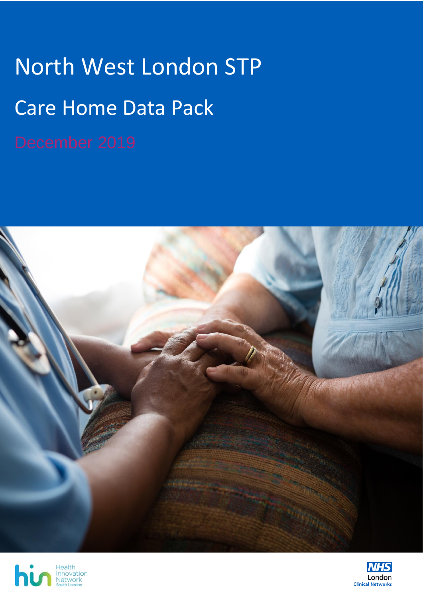# North West London STP Care Home Data Pack





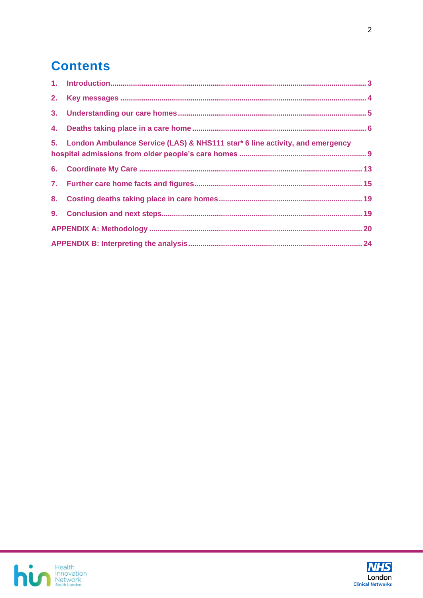# **Contents**

| 5. London Ambulance Service (LAS) & NHS111 star* 6 line activity, and emergency |  |
|---------------------------------------------------------------------------------|--|
|                                                                                 |  |
|                                                                                 |  |
|                                                                                 |  |
|                                                                                 |  |
|                                                                                 |  |
|                                                                                 |  |



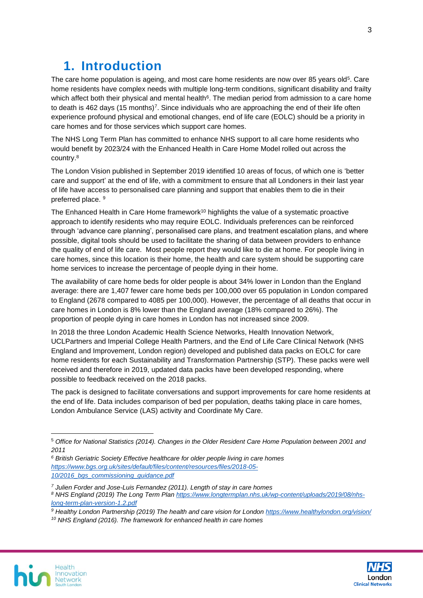# <span id="page-2-0"></span>**1. Introduction**

The care home population is ageing, and most care home residents are now over 85 years old<sup>5</sup>. Care home residents have complex needs with multiple long-term conditions, significant disability and frailty which affect both their physical and mental health<sup>6</sup>. The median period from admission to a care home to death is 462 days (15 months)<sup>7</sup>. Since individuals who are approaching the end of their life often experience profound physical and emotional changes, end of life care (EOLC) should be a priority in care homes and for those services which support care homes.

The NHS Long Term Plan has committed to enhance NHS support to all care home residents who would benefit by 2023/24 with the Enhanced Health in Care Home Model rolled out across the country.<sup>8</sup>

The London Vision published in September 2019 identified 10 areas of focus, of which one is 'better care and support' at the end of life, with a commitment to ensure that all Londoners in their last year of life have access to personalised care planning and support that enables them to die in their preferred place. <sup>9</sup>

The Enhanced Health in Care Home framework<sup>10</sup> highlights the value of a systematic proactive approach to identify residents who may require EOLC. Individuals preferences can be reinforced through 'advance care planning', personalised care plans, and treatment escalation plans, and where possible, digital tools should be used to facilitate the sharing of data between providers to enhance the quality of end of life care. Most people report they would like to die at home. For people living in care homes, since this location is their home, the health and care system should be supporting care home services to increase the percentage of people dying in their home.

The availability of care home beds for older people is about 34% lower in London than the England average: there are 1,407 fewer care home beds per 100,000 over 65 population in London compared to England (2678 compared to 4085 per 100,000). However, the percentage of all deaths that occur in care homes in London is 8% lower than the England average (18% compared to 26%). The proportion of people dying in care homes in London has not increased since 2009.

In 2018 the three London Academic Health Science Networks, Health Innovation Network, UCLPartners and Imperial College Health Partners, and the End of Life Care Clinical Network (NHS England and Improvement, London region) developed and published data packs on EOLC for care home residents for each Sustainability and Transformation Partnership (STP). These packs were well received and therefore in 2019, updated data packs have been developed responding, where possible to feedback received on the 2018 packs.

The pack is designed to facilitate conversations and support improvements for care home residents at the end of life. Data includes comparison of bed per population, deaths taking place in care homes, London Ambulance Service (LAS) activity and Coordinate My Care.

- *<sup>6</sup> British Geriatric Society Effective healthcare for older people living in care homes [https://www.bgs.org.uk/sites/default/files/content/resources/files/2018-05-](https://www.bgs.org.uk/sites/default/files/content/resources/files/2018-05-10/2016_bgs_commissioning_guidance.pdf) [10/2016\\_bgs\\_commissioning\\_guidance.pdf](https://www.bgs.org.uk/sites/default/files/content/resources/files/2018-05-10/2016_bgs_commissioning_guidance.pdf)*
- *<sup>7</sup> Julien Forder and Jose-Luis Fernandez (2011). Length of stay in care homes <sup>8</sup> NHS England (2019) The Long Term Plan [https://www.longtermplan.nhs.uk/wp-content/uploads/2019/08/nhs](https://www.longtermplan.nhs.uk/wp-content/uploads/2019/08/nhs-long-term-plan-version-1.2.pdf)[long-term-plan-version-1.2.pdf](https://www.longtermplan.nhs.uk/wp-content/uploads/2019/08/nhs-long-term-plan-version-1.2.pdf)*
- *<sup>9</sup> Healthy London Partnership (2019) The health and care vision for London<https://www.healthylondon.org/vision/>*
- *<sup>10</sup> NHS England (2016). The framework for enhanced health in care homes*





<sup>5</sup> *Office for National Statistics (2014). Changes in the Older Resident Care Home Population between 2001 and 2011*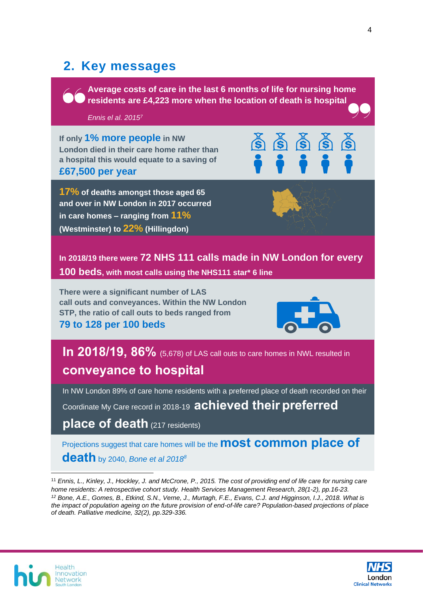# <span id="page-3-0"></span>**2. Key messages**

**Average costs of care in the last 6 months of life for nursing home residents are £4,223 more when the location of death is hospital** 

#### *Ennis el al. 2015<sup>7</sup>*

**If only 1% more people in NW London died in their care home rather than a hospital this would equate to a saving of £67,500 per year**

**17% of deaths amongst those aged 65 and over in NW London in 2017 occurred in care homes – ranging from 11% (Westminster) to 22% (Hillingdon)**

**In 2018/19 there were 72 NHS 111 calls made in NW London for every 100 beds, with most calls using the NHS111 star\* 6 line**

**There were a significant number of LAS call outs and conveyances. Within the NW London STP, the ratio of call outs to beds ranged from**

**79 to 128 per 100 beds**



**In 2018/19, 86%** (5,678) of LAS call outs to care homes in NWL resulted in **conveyance to hospital**

In NW London 89% of care home residents with a preferred place of death recorded on their Coordinate My Care record in 2018-19 **achieved their preferred** 

**place of death** (217 residents)

Projections suggest that care homes will be the **most common place of death** by 2040, *Bone et al 2018<sup>8</sup>*

<sup>11</sup> *Ennis, L., Kinley, J., Hockley, J. and McCrone, P., 2015. The cost of providing end of life care for nursing care home residents: A retrospective cohort study. Health Services Management Research, 28(1-2), pp.16-23. <sup>12</sup> Bone, A.E., Gomes, B., Etkind, S.N., Verne, J., Murtagh, F.E., Evans, C.J. and Higginson, I.J., 2018. What is the impact of population ageing on the future provision of end-of-life care? Population-based projections of place of death. Palliative medicine, 32(2), pp.329-336.* 



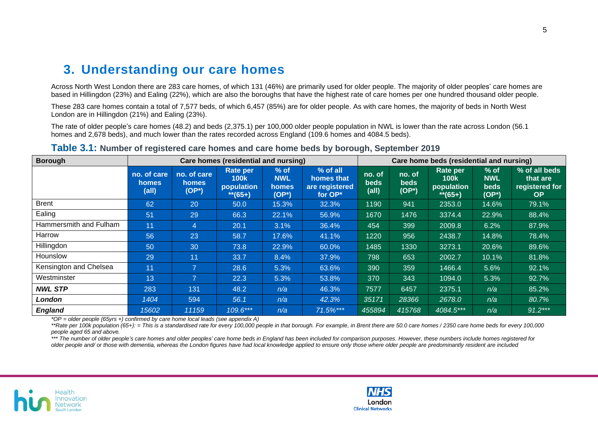### **3. Understanding our care homes**

Across North West London there are 283 care homes, of which 131 (46%) are primarily used for older people. The majority of older peoples' care homes are based in Hillingdon (23%) and Ealing (22%), which are also the boroughs that have the highest rate of care homes per one hundred thousand older people.

These 283 care homes contain a total of 7,577 beds, of which 6,457 (85%) are for older people. As with care homes, the majority of beds in North West London are in Hillingdon (21%) and Ealing (23%).

The rate of older people's care homes (48.2) and beds (2,375.1) per 100,000 older people population in NWL is lower than the rate across London (56.1 homes and 2,678 beds), and much lower than the rates recorded across England (109.6 homes and 4084.5 beds).

<span id="page-4-0"></span>

| <b>Borough</b>         | Care homes (residential and nursing) |                                         |                                                            |                                           |                                                     | Care home beds (residential and nursing) |                         |                                                     |                                              |                                                          |
|------------------------|--------------------------------------|-----------------------------------------|------------------------------------------------------------|-------------------------------------------|-----------------------------------------------------|------------------------------------------|-------------------------|-----------------------------------------------------|----------------------------------------------|----------------------------------------------------------|
|                        | no. of care<br><b>homes</b><br>(all) | no. of care<br><b>homes</b><br>$(OP^*)$ | <b>Rate per</b><br><b>100k</b><br>population<br>$**$ (65+) | $%$ of<br><b>NWL</b><br>homes<br>$(OP^*)$ | % of all<br>homes that<br>are registered<br>for OP* | no. of<br><b>beds</b><br>(all)           | no. of<br>beds<br>(OP*) | Rate per<br><b>100k</b><br>population<br>$**$ (65+) | $%$ of<br><b>NWL</b><br><b>beds</b><br>(OP*) | % of all beds<br>that are<br>registered for<br><b>OP</b> |
| <b>Brent</b>           | 62                                   | 20                                      | 50.0                                                       | 15.3%                                     | 32.3%                                               | 1190                                     | 941                     | 2353.0                                              | 14.6%                                        | 79.1%                                                    |
| Ealing                 | 51                                   | 29                                      | 66.3                                                       | 22.1%                                     | 56.9%                                               | 1670                                     | 1476                    | 3374.4                                              | 22.9%                                        | 88.4%                                                    |
| Hammersmith and Fulham | 11                                   | $\overline{4}$                          | 20.1                                                       | 3.1%                                      | 36.4%                                               | 454                                      | 399                     | 2009.8                                              | 6.2%                                         | 87.9%                                                    |
| Harrow                 | 56                                   | 23                                      | 58.7                                                       | 17.6%                                     | 41.1%                                               | 1220                                     | 956                     | 2438.7                                              | 14.8%                                        | 78.4%                                                    |
| Hillingdon             | 50                                   | 30                                      | 73.8                                                       | 22.9%                                     | 60.0%                                               | 1485                                     | 1330                    | 3273.1                                              | 20.6%                                        | 89.6%                                                    |
| <b>Hounslow</b>        | 29                                   | 11                                      | 33.7                                                       | 8.4%                                      | 37.9%                                               | 798                                      | 653                     | 2002.7                                              | 10.1%                                        | 81.8%                                                    |
| Kensington and Chelsea | 11                                   | $\overline{7}$                          | 28.6                                                       | 5.3%                                      | 63.6%                                               | 390                                      | 359                     | 1466.4                                              | 5.6%                                         | 92.1%                                                    |
| Westminster            | 13                                   | $\overline{7}$                          | 22.3                                                       | 5.3%                                      | 53.8%                                               | 370                                      | 343                     | 1094.0                                              | 5.3%                                         | 92.7%                                                    |
| <b>NWL STP</b>         | 283                                  | 131                                     | 48.2                                                       | n/a                                       | 46.3%                                               | 7577                                     | 6457                    | 2375.1                                              | n/a                                          | 85.2%                                                    |
| London                 | 1404                                 | 594                                     | 56.1                                                       | n/a                                       | 42.3%                                               | 35171                                    | 28366                   | 2678.0                                              | n/a                                          | 80.7%                                                    |
| <b>England</b>         | 15602                                | 11159                                   | 109.6***                                                   | n/a                                       | 71.5%***                                            | 455894                                   | 415768                  | 4084.5***                                           | n/a                                          | $91.2***$                                                |

#### **Table 3.1: Number of registered care homes and care home beds by borough, September 2019**

*\*OP = older people (65yrs +) confirmed by care home local leads (see appendix A)*

\*\*Rate per 100k population (65+): = This is a standardised rate for every 100,000 people in that borough. For example, in Brent there are 50.0 care homes / 2350 care home beds for every 100,000 *people aged 65 and above.*

\*\*\* The number of older people's care homes and older peoples' care home beds in England has been included for comparison purposes. However, these numbers include homes registered for *older people and/ or those with dementia, whereas the London figures have had local knowledge applied to ensure only those where older people are predominantly resident are included*



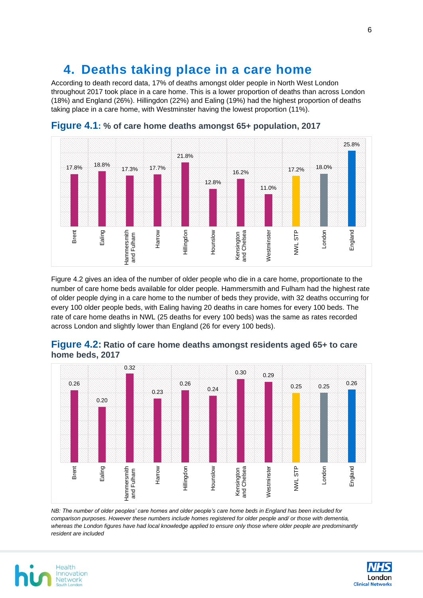# <span id="page-5-0"></span>**4. Deaths taking place in a care home**

According to death record data, 17% of deaths amongst older people in North West London throughout 2017 took place in a care home. This is a lower proportion of deaths than across London (18%) and England (26%). Hillingdon (22%) and Ealing (19%) had the highest proportion of deaths taking place in a care home, with Westminster having the lowest proportion (11%).





Figure 4.2 gives an idea of the number of older people who die in a care home, proportionate to the number of care home beds available for older people. Hammersmith and Fulham had the highest rate of older people dying in a care home to the number of beds they provide, with 32 deaths occurring for every 100 older people beds, with Ealing having 20 deaths in care homes for every 100 beds. The rate of care home deaths in NWL (25 deaths for every 100 beds) was the same as rates recorded across London and slightly lower than England (26 for every 100 beds).



### **Figure 4.2: Ratio of care home deaths amongst residents aged 65+ to care home beds, 2017**

*NB: The number of older peoples' care homes and older people's care home beds in England has been included for comparison purposes. However these numbers include homes registered for older people and/ or those with dementia, whereas the London figures have had local knowledge applied to ensure only those where older people are predominantly resident are included*



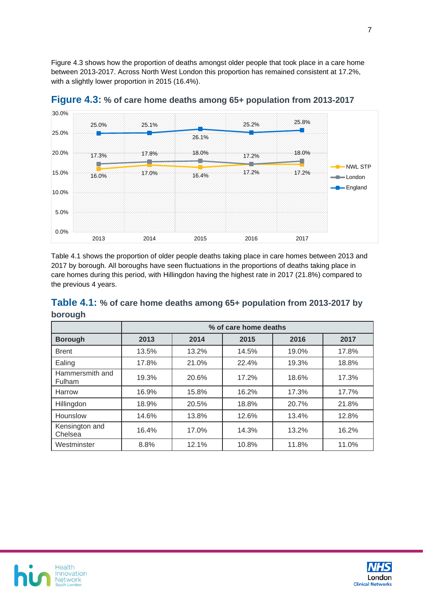Figure 4.3 shows how the proportion of deaths amongst older people that took place in a care home between 2013-2017. Across North West London this proportion has remained consistent at 17.2%, with a slightly lower proportion in 2015 (16.4%).



**Figure 4.3: % of care home deaths among 65+ population from 2013-2017**

Table 4.1 shows the proportion of older people deaths taking place in care homes between 2013 and 2017 by borough. All boroughs have seen fluctuations in the proportions of deaths taking place in care homes during this period, with Hillingdon having the highest rate in 2017 (21.8%) compared to the previous 4 years.

| Table 4.1: % of care home deaths among 65+ population from 2013-2017 by |  |  |
|-------------------------------------------------------------------------|--|--|
| borough                                                                 |  |  |

|                                  | % of care home deaths |       |       |       |       |  |  |
|----------------------------------|-----------------------|-------|-------|-------|-------|--|--|
| <b>Borough</b>                   | 2013                  | 2014  | 2015  | 2016  | 2017  |  |  |
| <b>Brent</b>                     | 13.5%                 | 13.2% | 14.5% | 19.0% | 17.8% |  |  |
| Ealing                           | 17.8%                 | 21.0% | 22.4% | 19.3% | 18.8% |  |  |
| Hammersmith and<br><b>Fulham</b> | 19.3%                 | 20.6% | 17.2% | 18.6% | 17.3% |  |  |
| Harrow                           | 16.9%                 | 15.8% | 16.2% | 17.3% | 17.7% |  |  |
| Hillingdon                       | 18.9%                 | 20.5% | 18.8% | 20.7% | 21.8% |  |  |
| Hounslow                         | 14.6%                 | 13.8% | 12.6% | 13.4% | 12.8% |  |  |
| Kensington and<br>Chelsea        | 16.4%                 | 17.0% | 14.3% | 13.2% | 16.2% |  |  |
| Westminster                      | 8.8%                  | 12.1% | 10.8% | 11.8% | 11.0% |  |  |



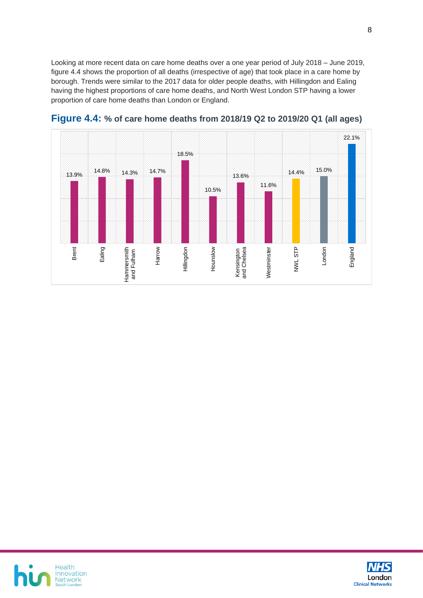Looking at more recent data on care home deaths over a one year period of July 2018 – June 2019, figure 4.4 shows the proportion of all deaths (irrespective of age) that took place in a care home by borough. Trends were similar to the 2017 data for older people deaths, with Hillingdon and Ealing having the highest proportions of care home deaths, and North West London STP having a lower proportion of care home deaths than London or England.



**Figure 4.4: % of care home deaths from 2018/19 Q2 to 2019/20 Q1 (all ages)**



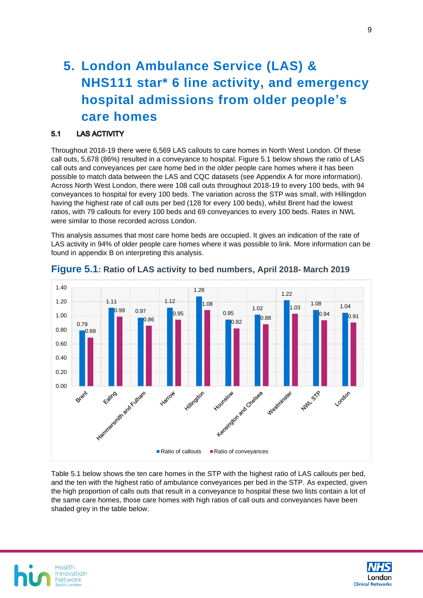# <span id="page-8-0"></span>**5. London Ambulance Service (LAS) & NHS111 star\* 6 line activity, and emergency hospital admissions from older people's care homes**

#### **LAS ACTIVITY**  $5.1$

Throughout 2018-19 there were 6,569 LAS callouts to care homes in North West London. Of these call outs, 5,678 (86%) resulted in a conveyance to hospital. Figure 5.1 below shows the ratio of LAS call outs and conveyances per care home bed in the older people care homes where it has been possible to match data between the LAS and CQC datasets (see Appendix A for more information). Across North West London, there were 108 call outs throughout 2018-19 to every 100 beds, with 94 conveyances to hospital for every 100 beds. The variation across the STP was small, with Hillingdon having the highest rate of call outs per bed (128 for every 100 beds), whilst Brent had the lowest ratios, with 79 callouts for every 100 beds and 69 conveyances to every 100 beds. Rates in NWL were similar to those recorded across London.

This analysis assumes that most care home beds are occupied. It gives an indication of the rate of LAS activity in 94% of older people care homes where it was possible to link. More information can be found in appendix B on interpreting this analysis.



### **Figure 5.1: Ratio of LAS activity to bed numbers, April 2018- March 2019**

Table 5.1 below shows the ten care homes in the STP with the highest ratio of LAS callouts per bed, and the ten with the highest ratio of ambulance conveyances per bed in the STP. As expected, given the high proportion of calls outs that result in a conveyance to hospital these two lists contain a lot of the same care homes, those care homes with high ratios of call outs and conveyances have been shaded grey in the table below.



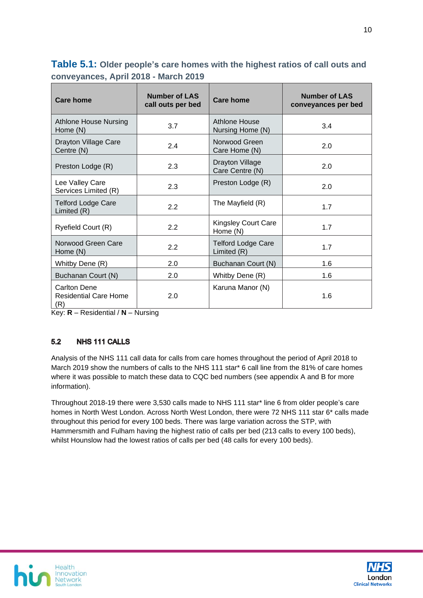**Table 5.1: Older people's care homes with the highest ratios of call outs and conveyances, April 2018 - March 2019**

| Care home                                                         | <b>Number of LAS</b><br>call outs per bed | Care home                                 | Number of LAS<br>conveyances per bed |  |
|-------------------------------------------------------------------|-------------------------------------------|-------------------------------------------|--------------------------------------|--|
| <b>Athlone House Nursing</b><br>Home (N)                          | 3.7                                       | Athlone House<br>Nursing Home (N)         | 3.4                                  |  |
| Drayton Village Care<br>Centre (N)                                | 2.4                                       | Norwood Green<br>Care Home (N)            | 2.0                                  |  |
| 2.3<br>Preston Lodge (R)                                          |                                           | <b>Drayton Village</b><br>Care Centre (N) | 2.0                                  |  |
| Lee Valley Care<br>2.3<br>Services Limited (R)                    |                                           | Preston Lodge (R)                         | 2.0                                  |  |
| <b>Telford Lodge Care</b><br>Limited (R)                          | 2.2                                       |                                           | 1.7                                  |  |
| 2.2<br>Ryefield Court (R)                                         |                                           | <b>Kingsley Court Care</b><br>Home (N)    | 1.7                                  |  |
| Norwood Green Care<br>Home (N)                                    | 2.2                                       | <b>Telford Lodge Care</b><br>Limited (R)  | 1.7                                  |  |
| 2.0<br>Whitby Dene (R)                                            |                                           | Buchanan Court (N)                        | 1.6                                  |  |
| Buchanan Court (N)<br>2.0                                         |                                           | Whitby Dene (R)                           | 1.6                                  |  |
| <b>Carlton Dene</b><br>2.0<br><b>Residential Care Home</b><br>(R) |                                           | Karuna Manor (N)                          | 1.6                                  |  |

Key: **R** – Residential / **N** – Nursing

#### $5.2$ NHS 111 CALLS

Analysis of the NHS 111 call data for calls from care homes throughout the period of April 2018 to March 2019 show the numbers of calls to the NHS 111 star\* 6 call line from the 81% of care homes where it was possible to match these data to CQC bed numbers (see appendix A and B for more information).

Throughout 2018-19 there were 3,530 calls made to NHS 111 star\* line 6 from older people's care homes in North West London. Across North West London, there were 72 NHS 111 star 6<sup>\*</sup> calls made throughout this period for every 100 beds. There was large variation across the STP, with Hammersmith and Fulham having the highest ratio of calls per bed (213 calls to every 100 beds), whilst Hounslow had the lowest ratios of calls per bed (48 calls for every 100 beds).



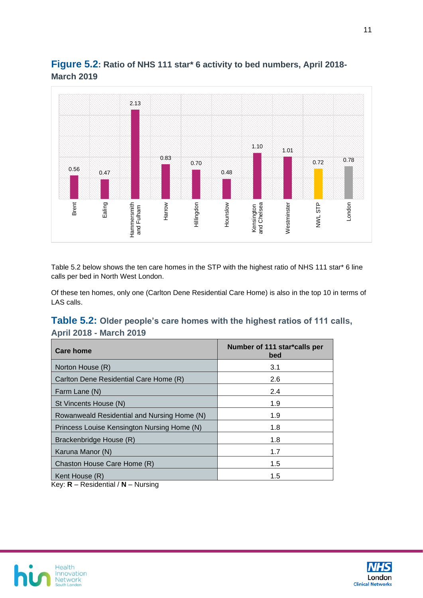



Table 5.2 below shows the ten care homes in the STP with the highest ratio of NHS 111 star\* 6 line calls per bed in North West London.

Of these ten homes, only one (Carlton Dene Residential Care Home) is also in the top 10 in terms of LAS calls.

### **Table 5.2: Older people's care homes with the highest ratios of 111 calls, April 2018 - March 2019**

| Care home                                   | Number of 111 star*calls per<br>bed |
|---------------------------------------------|-------------------------------------|
| Norton House (R)                            | 3.1                                 |
| Carlton Dene Residential Care Home (R)      | 2.6                                 |
| Farm Lane (N)                               | 2.4                                 |
| St Vincents House (N)                       | 1.9                                 |
| Rowanweald Residential and Nursing Home (N) | 1.9                                 |
| Princess Louise Kensington Nursing Home (N) | 1.8                                 |
| Brackenbridge House (R)                     | 1.8                                 |
| Karuna Manor (N)                            | 1.7                                 |
| Chaston House Care Home (R)                 | 1.5                                 |
| Kent House (R)<br>.<br>. .                  | 1.5                                 |

Key: **R** – Residential / **N** – Nursing



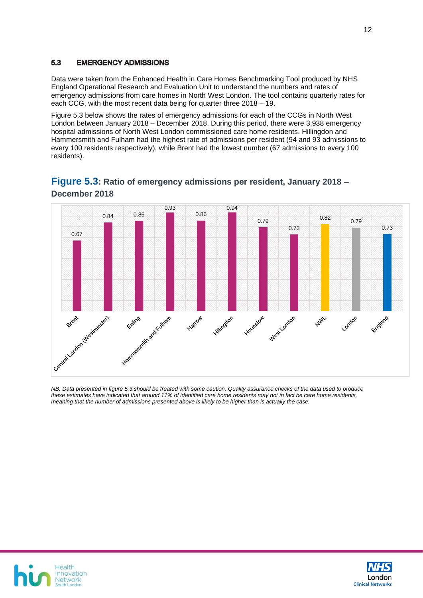#### 5.3 **EMERGENCY ADMISSIONS**

Data were taken from the Enhanced Health in Care Homes Benchmarking Tool produced by NHS England Operational Research and Evaluation Unit to understand the numbers and rates of emergency admissions from care homes in North West London. The tool contains quarterly rates for each CCG, with the most recent data being for quarter three 2018 – 19.

Figure 5.3 below shows the rates of emergency admissions for each of the CCGs in North West London between January 2018 – December 2018. During this period, there were 3,938 emergency hospital admissions of North West London commissioned care home residents. Hillingdon and Hammersmith and Fulham had the highest rate of admissions per resident (94 and 93 admissions to every 100 residents respectively), while Brent had the lowest number (67 admissions to every 100 residents).



### **Figure 5.3: Ratio of emergency admissions per resident, January 2018 – December 2018**

*NB: Data presented in figure 5.3 should be treated with some caution. Quality assurance checks of the data used to produce these estimates have indicated that around 11% of identified care home residents may not in fact be care home residents, meaning that the number of admissions presented above is likely to be higher than is actually the case.* 



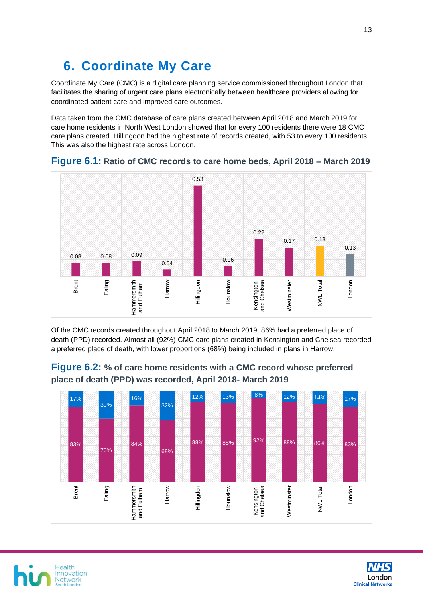# <span id="page-12-0"></span>**6. Coordinate My Care**

Coordinate My Care (CMC) is a digital care planning service commissioned throughout London that facilitates the sharing of urgent care plans electronically between healthcare providers allowing for coordinated patient care and improved care outcomes.

Data taken from the CMC database of care plans created between April 2018 and March 2019 for care home residents in North West London showed that for every 100 residents there were 18 CMC care plans created. Hillingdon had the highest rate of records created, with 53 to every 100 residents. This was also the highest rate across London.



**Figure 6.1: Ratio of CMC records to care home beds, April 2018 – March 2019**

Of the CMC records created throughout April 2018 to March 2019, 86% had a preferred place of death (PPD) recorded. Almost all (92%) CMC care plans created in Kensington and Chelsea recorded a preferred place of death, with lower proportions (68%) being included in plans in Harrow.



**Figure 6.2: % of care home residents with a CMC record whose preferred place of death (PPD) was recorded, April 2018- March 2019**



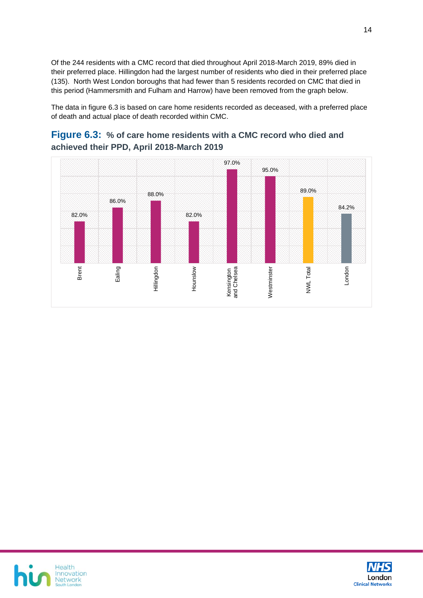Of the 244 residents with a CMC record that died throughout April 2018-March 2019, 89% died in their preferred place. Hillingdon had the largest number of residents who died in their preferred place (135). North West London boroughs that had fewer than 5 residents recorded on CMC that died in this period (Hammersmith and Fulham and Harrow) have been removed from the graph below.

The data in figure 6.3 is based on care home residents recorded as deceased, with a preferred place of death and actual place of death recorded within CMC.

#### 97.0% 95.0% 89.0% 88.0% 86.0% 84.2% 82.0% 82.0% Brent Ealing Hounslow Nestminster LondonHillingdon NWL Total Westminster Kensington and Chelsea

### **Figure 6.3: % of care home residents with a CMC record who died and achieved their PPD, April 2018-March 2019**



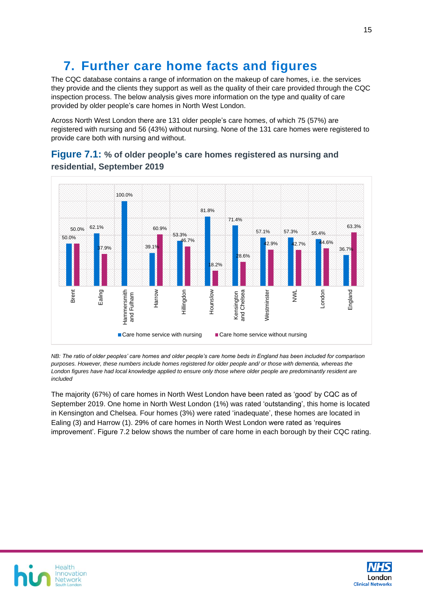# <span id="page-14-0"></span>**7. Further care home facts and figures**

The CQC database contains a range of information on the makeup of care homes, i.e. the services they provide and the clients they support as well as the quality of their care provided through the CQC inspection process. The below analysis gives more information on the type and quality of care provided by older people's care homes in North West London.

Across North West London there are 131 older people's care homes, of which 75 (57%) are registered with nursing and 56 (43%) without nursing. None of the 131 care homes were registered to provide care both with nursing and without.



### **Figure 7.1: % of older people's care homes registered as nursing and residential, September 2019**

*NB: The ratio of older peoples' care homes and older people's care home beds in England has been included for comparison purposes. However, these numbers include homes registered for older people and/ or those with dementia, whereas the London figures have had local knowledge applied to ensure only those where older people are predominantly resident are included* 

The majority (67%) of care homes in North West London have been rated as 'good' by CQC as of September 2019. One home in North West London (1%) was rated 'outstanding', this home is located in Kensington and Chelsea. Four homes (3%) were rated 'inadequate', these homes are located in Ealing (3) and Harrow (1). 29% of care homes in North West London were rated as 'requires improvement'. Figure 7.2 below shows the number of care home in each borough by their CQC rating.



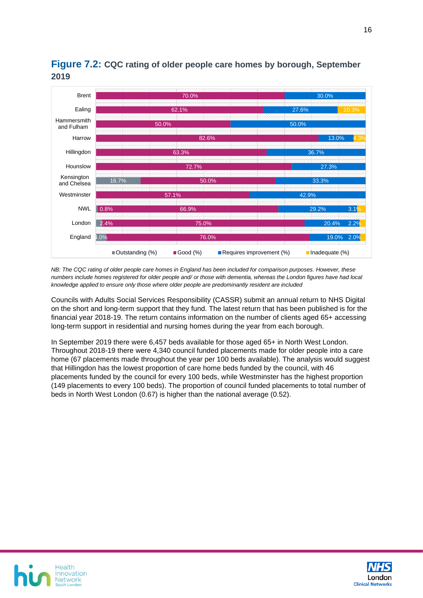

### **Figure 7.2: CQC rating of older people care homes by borough, September 2019**

*NB: The CQC rating of older people care homes in England has been included for comparison purposes. However, these numbers include homes registered for older people and/ or those with dementia, whereas the London figures have had local knowledge applied to ensure only those where older people are predominantly resident are included*

Councils with Adults Social Services Responsibility (CASSR) submit an annual return to NHS Digital on the short and long-term support that they fund. The latest return that has been published is for the financial year 2018-19. The return contains information on the number of clients aged 65+ accessing long-term support in residential and nursing homes during the year from each borough.

In September 2019 there were 6,457 beds available for those aged 65+ in North West London. Throughout 2018-19 there were 4,340 council funded placements made for older people into a care home (67 placements made throughout the year per 100 beds available). The analysis would suggest that Hillingdon has the lowest proportion of care home beds funded by the council, with 46 placements funded by the council for every 100 beds, while Westminster has the highest proportion (149 placements to every 100 beds). The proportion of council funded placements to total number of beds in North West London (0.67) is higher than the national average (0.52).



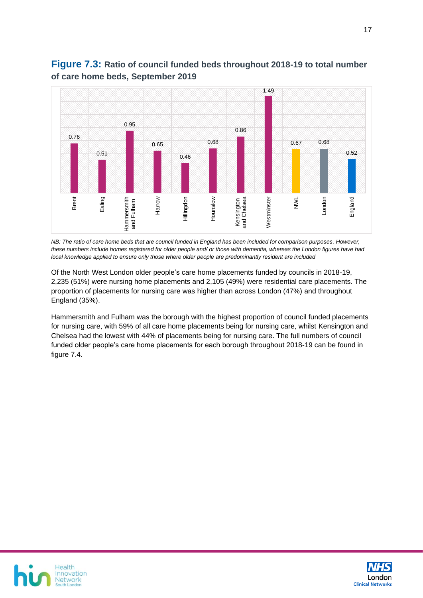

### **Figure 7.3: Ratio of council funded beds throughout 2018-19 to total number of care home beds, September 2019**

*NB: The ratio of care home beds that are council funded in England has been included for comparison purposes. However, these numbers include homes registered for older people and/ or those with dementia, whereas the London figures have had local knowledge applied to ensure only those where older people are predominantly resident are included*

Of the North West London older people's care home placements funded by councils in 2018-19, 2,235 (51%) were nursing home placements and 2,105 (49%) were residential care placements. The proportion of placements for nursing care was higher than across London (47%) and throughout England (35%).

Hammersmith and Fulham was the borough with the highest proportion of council funded placements for nursing care, with 59% of all care home placements being for nursing care, whilst Kensington and Chelsea had the lowest with 44% of placements being for nursing care. The full numbers of council funded older people's care home placements for each borough throughout 2018-19 can be found in figure 7.4.



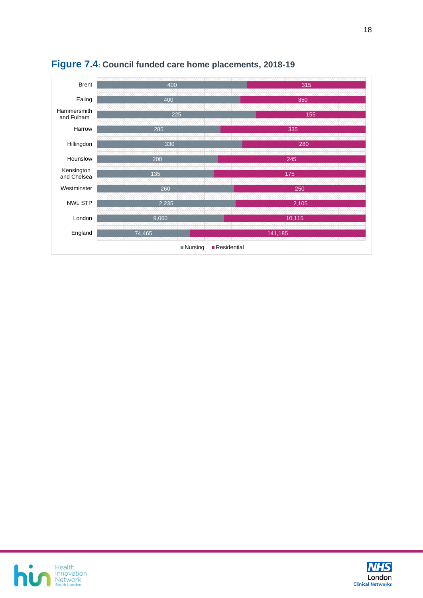

### **Figure 7.4: Council funded care home placements, 2018-19**



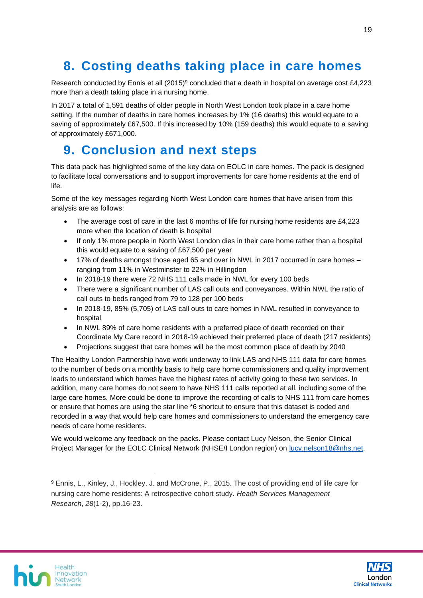# <span id="page-18-0"></span>**8. Costing deaths taking place in care homes**

Research conducted by Ennis et all  $(2015)^9$  concluded that a death in hospital on average cost £4,223 more than a death taking place in a nursing home.

In 2017 a total of 1,591 deaths of older people in North West London took place in a care home setting. If the number of deaths in care homes increases by 1% (16 deaths) this would equate to a saving of approximately £67,500. If this increased by 10% (159 deaths) this would equate to a saving of approximately £671,000.

## <span id="page-18-1"></span>**9. Conclusion and next steps**

This data pack has highlighted some of the key data on EOLC in care homes. The pack is designed to facilitate local conversations and to support improvements for care home residents at the end of life.

Some of the key messages regarding North West London care homes that have arisen from this analysis are as follows:

- The average cost of care in the last 6 months of life for nursing home residents are £4,223 more when the location of death is hospital
- If only 1% more people in North West London dies in their care home rather than a hospital this would equate to a saving of £67,500 per year
- 17% of deaths amongst those aged 65 and over in NWL in 2017 occurred in care homes ranging from 11% in Westminster to 22% in Hillingdon
- In 2018-19 there were 72 NHS 111 calls made in NWL for every 100 beds
- There were a significant number of LAS call outs and conveyances. Within NWL the ratio of call outs to beds ranged from 79 to 128 per 100 beds
- In 2018-19, 85% (5,705) of LAS call outs to care homes in NWL resulted in conveyance to hospital
- In NWL 89% of care home residents with a preferred place of death recorded on their Coordinate My Care record in 2018-19 achieved their preferred place of death (217 residents)
- Projections suggest that care homes will be the most common place of death by 2040

The Healthy London Partnership have work underway to link LAS and NHS 111 data for care homes to the number of beds on a monthly basis to help care home commissioners and quality improvement leads to understand which homes have the highest rates of activity going to these two services. In addition, many care homes do not seem to have NHS 111 calls reported at all, including some of the large care homes. More could be done to improve the recording of calls to NHS 111 from care homes or ensure that homes are using the star line \*6 shortcut to ensure that this dataset is coded and recorded in a way that would help care homes and commissioners to understand the emergency care needs of care home residents.

We would welcome any feedback on the packs. Please contact Lucy Nelson, the Senior Clinical Project Manager for the EOLC Clinical Network (NHSE/I London region) on [lucy.nelson18@nhs.net.](mailto:lucy.nelson18@nhs.net)





<sup>9</sup> Ennis, L., Kinley, J., Hockley, J. and McCrone, P., 2015. The cost of providing end of life care for nursing care home residents: A retrospective cohort study. *Health Services Management Research*, *28*(1-2), pp.16-23.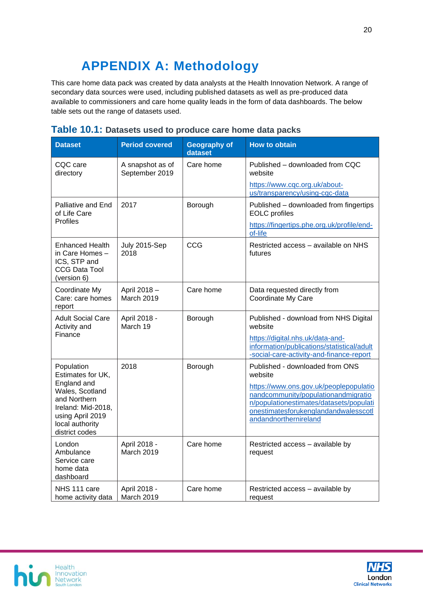# **APPENDIX A: Methodology**

<span id="page-19-0"></span>This care home data pack was created by data analysts at the Health Innovation Network. A range of secondary data sources were used, including published datasets as well as pre-produced data available to commissioners and care home quality leads in the form of data dashboards. The below table sets out the range of datasets used.

| <b>Dataset</b>                                                                                                                                                   | <b>Period covered</b>              | <b>Geography of</b><br>dataset | <b>How to obtain</b>                                                                                                                                                                                                                    |
|------------------------------------------------------------------------------------------------------------------------------------------------------------------|------------------------------------|--------------------------------|-----------------------------------------------------------------------------------------------------------------------------------------------------------------------------------------------------------------------------------------|
| CQC care<br>directory                                                                                                                                            | A snapshot as of<br>September 2019 | Care home                      | Published – downloaded from CQC<br>website<br>https://www.cqc.org.uk/about-<br>us/transparency/using-cgc-data                                                                                                                           |
| Palliative and End<br>of Life Care<br><b>Profiles</b>                                                                                                            | 2017                               | Borough                        | Published - downloaded from fingertips<br><b>EOLC</b> profiles<br>https://fingertips.phe.org.uk/profile/end-<br>of-life                                                                                                                 |
| Enhanced Health<br>in Care Homes -<br>ICS, STP and<br><b>CCG Data Tool</b><br>(version 6)                                                                        | July 2015-Sep<br>2018              | CCG                            | Restricted access - available on NHS<br>futures                                                                                                                                                                                         |
| Coordinate My<br>Care: care homes<br>report                                                                                                                      | April 2018 -<br>March 2019         | Care home                      | Data requested directly from<br>Coordinate My Care                                                                                                                                                                                      |
| Adult Social Care<br>Activity and<br>Finance                                                                                                                     | April 2018 -<br>March 19           | Borough                        | Published - download from NHS Digital<br>website<br>https://digital.nhs.uk/data-and-<br>information/publications/statistical/adult<br>-social-care-activity-and-finance-report                                                          |
| Population<br>Estimates for UK,<br>England and<br>Wales, Scotland<br>and Northern<br>Ireland: Mid-2018,<br>using April 2019<br>local authority<br>district codes | 2018                               | Borough                        | Published - downloaded from ONS<br>website<br>https://www.ons.gov.uk/peoplepopulatio<br>nandcommunity/populationandmigratio<br>n/populationestimates/datasets/populati<br>onestimatesforukenglandandwalesscotl<br>andandnorthernireland |
| London<br>Ambulance<br>Service care<br>home data<br>dashboard                                                                                                    | April 2018 -<br>March 2019         | Care home                      | Restricted access - available by<br>request                                                                                                                                                                                             |
| NHS 111 care<br>home activity data                                                                                                                               | April 2018 -<br>March 2019         | Care home                      | Restricted access - available by<br>request                                                                                                                                                                                             |

### **Table 10.1: Datasets used to produce care home data packs**



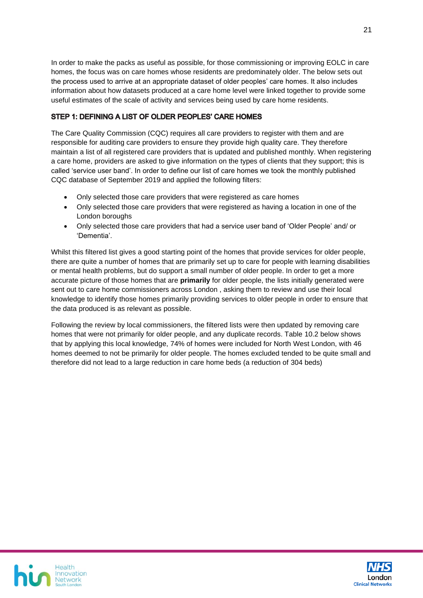In order to make the packs as useful as possible, for those commissioning or improving EOLC in care homes, the focus was on care homes whose residents are predominately older. The below sets out the process used to arrive at an appropriate dataset of older peoples' care homes. It also includes information about how datasets produced at a care home level were linked together to provide some useful estimates of the scale of activity and services being used by care home residents.

#### STEP 1: DEFINING A LIST OF OLDER PEOPLES' CARE HOMES

The Care Quality Commission (CQC) requires all care providers to register with them and are responsible for auditing care providers to ensure they provide high quality care. They therefore maintain a list of all registered care providers that is updated and published monthly. When registering a care home, providers are asked to give information on the types of clients that they support; this is called 'service user band'. In order to define our list of care homes we took the monthly published CQC database of September 2019 and applied the following filters:

- Only selected those care providers that were registered as care homes
- Only selected those care providers that were registered as having a location in one of the London boroughs
- Only selected those care providers that had a service user band of 'Older People' and/ or 'Dementia'.

Whilst this filtered list gives a good starting point of the homes that provide services for older people, there are quite a number of homes that are primarily set up to care for people with learning disabilities or mental health problems, but do support a small number of older people. In order to get a more accurate picture of those homes that are **primarily** for older people, the lists initially generated were sent out to care home commissioners across London , asking them to review and use their local knowledge to identify those homes primarily providing services to older people in order to ensure that the data produced is as relevant as possible.

Following the review by local commissioners, the filtered lists were then updated by removing care homes that were not primarily for older people, and any duplicate records. Table 10.2 below shows that by applying this local knowledge, 74% of homes were included for North West London, with 46 homes deemed to not be primarily for older people. The homes excluded tended to be quite small and therefore did not lead to a large reduction in care home beds (a reduction of 304 beds)



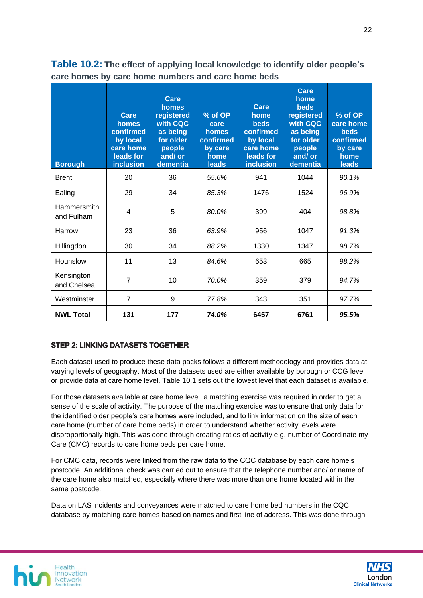| <b>Borough</b>            | Care<br>homes<br>confirmed<br>by local<br>care home<br>leads for<br><b>inclusion</b> | Care<br>homes<br>registered<br>with CQC<br>as being<br>for older<br>people<br>and/or<br>dementia | % of OP<br>care<br>homes<br>confirmed<br>by care<br>home<br>leads | Care<br>home<br><b>beds</b><br>confirmed<br>by local<br>care home<br>leads for<br><b>inclusion</b> | Care<br>home<br><b>beds</b><br>registered<br>with CQC<br>as being<br>for older<br>people<br>and/ or<br>dementia | % of OP<br>care home<br><b>beds</b><br>confirmed<br>by care<br>home<br>leads |
|---------------------------|--------------------------------------------------------------------------------------|--------------------------------------------------------------------------------------------------|-------------------------------------------------------------------|----------------------------------------------------------------------------------------------------|-----------------------------------------------------------------------------------------------------------------|------------------------------------------------------------------------------|
| <b>Brent</b>              | 20                                                                                   | 36                                                                                               | 55.6%                                                             | 941                                                                                                | 1044                                                                                                            | 90.1%                                                                        |
| Ealing                    | 29                                                                                   | 34                                                                                               | 85.3%                                                             | 1476                                                                                               | 1524                                                                                                            | 96.9%                                                                        |
| Hammersmith<br>and Fulham | 4                                                                                    | 5                                                                                                | 80.0%                                                             | 399                                                                                                | 404                                                                                                             | 98.8%                                                                        |
| Harrow                    | 23                                                                                   | 36                                                                                               | 63.9%                                                             | 956                                                                                                | 1047                                                                                                            | 91.3%                                                                        |
| Hillingdon                | 30                                                                                   | 34                                                                                               | 88.2%                                                             | 1330                                                                                               | 1347                                                                                                            | 98.7%                                                                        |
| Hounslow                  | 11                                                                                   | 13                                                                                               | 84.6%                                                             | 653                                                                                                | 665                                                                                                             | 98.2%                                                                        |
| Kensington<br>and Chelsea | 7                                                                                    | 10                                                                                               | 70.0%                                                             | 359                                                                                                | 379                                                                                                             | 94.7%                                                                        |
| Westminster               | $\overline{7}$                                                                       | 9                                                                                                | 77.8%                                                             | 343                                                                                                | 351                                                                                                             | 97.7%                                                                        |
| <b>NWL Total</b>          | 131                                                                                  | 177                                                                                              | 74.0%                                                             | 6457                                                                                               | 6761                                                                                                            | 95.5%                                                                        |

**Table 10.2: The effect of applying local knowledge to identify older people's care homes by care home numbers and care home beds**

#### **STEP 2: LINKING DATASETS TOGETHER**

Each dataset used to produce these data packs follows a different methodology and provides data at varying levels of geography. Most of the datasets used are either available by borough or CCG level or provide data at care home level. Table 10.1 sets out the lowest level that each dataset is available.

For those datasets available at care home level, a matching exercise was required in order to get a sense of the scale of activity. The purpose of the matching exercise was to ensure that only data for the identified older people's care homes were included, and to link information on the size of each care home (number of care home beds) in order to understand whether activity levels were disproportionally high. This was done through creating ratios of activity e.g. number of Coordinate my Care (CMC) records to care home beds per care home.

For CMC data, records were linked from the raw data to the CQC database by each care home's postcode. An additional check was carried out to ensure that the telephone number and/ or name of the care home also matched, especially where there was more than one home located within the same postcode.

Data on LAS incidents and conveyances were matched to care home bed numbers in the CQC database by matching care homes based on names and first line of address. This was done through



22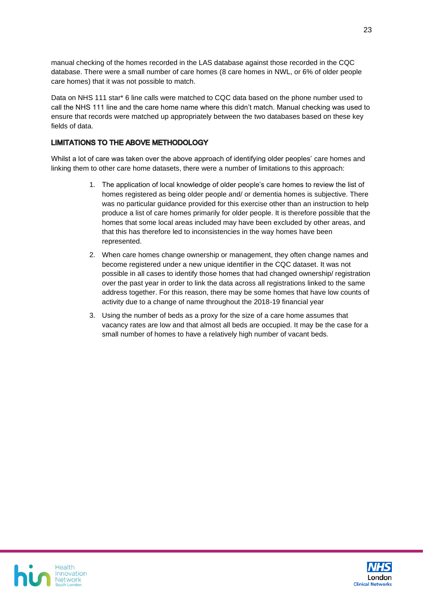manual checking of the homes recorded in the LAS database against those recorded in the CQC database. There were a small number of care homes (8 care homes in NWL, or 6% of older people care homes) that it was not possible to match.

Data on NHS 111 star\* 6 line calls were matched to CQC data based on the phone number used to call the NHS 111 line and the care home name where this didn't match. Manual checking was used to ensure that records were matched up appropriately between the two databases based on these key fields of data.

#### **LIMITATIONS TO THE ABOVE METHODOLOGY**

Whilst a lot of care was taken over the above approach of identifying older peoples' care homes and linking them to other care home datasets, there were a number of limitations to this approach:

- 1. The application of local knowledge of older people's care homes to review the list of homes registered as being older people and/ or dementia homes is subjective. There was no particular guidance provided for this exercise other than an instruction to help produce a list of care homes primarily for older people. It is therefore possible that the homes that some local areas included may have been excluded by other areas, and that this has therefore led to inconsistencies in the way homes have been represented.
- 2. When care homes change ownership or management, they often change names and become registered under a new unique identifier in the CQC dataset. It was not possible in all cases to identify those homes that had changed ownership/ registration over the past year in order to link the data across all registrations linked to the same address together. For this reason, there may be some homes that have low counts of activity due to a change of name throughout the 2018-19 financial year
- 3. Using the number of beds as a proxy for the size of a care home assumes that vacancy rates are low and that almost all beds are occupied. It may be the case for a small number of homes to have a relatively high number of vacant beds.



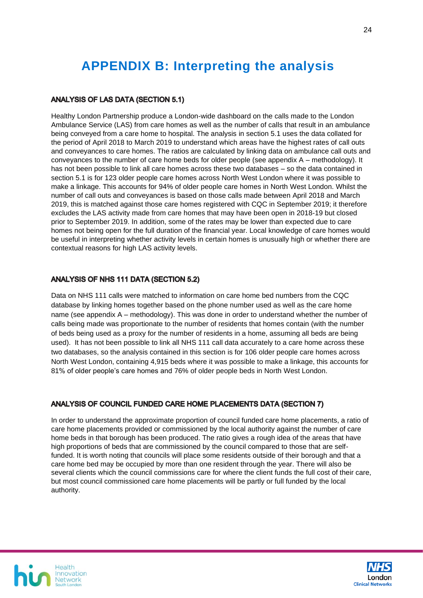# <span id="page-23-0"></span>**APPENDIX B: Interpreting the analysis**

#### **ANALYSIS OF LAS DATA (SECTION 5.1)**

Healthy London Partnership produce a London-wide dashboard on the calls made to the London Ambulance Service (LAS) from care homes as well as the number of calls that result in an ambulance being conveyed from a care home to hospital. The analysis in section 5.1 uses the data collated for the period of April 2018 to March 2019 to understand which areas have the highest rates of call outs and conveyances to care homes. The ratios are calculated by linking data on ambulance call outs and conveyances to the number of care home beds for older people (see appendix A – methodology). It has not been possible to link all care homes across these two databases – so the data contained in section 5.1 is for 123 older people care homes across North West London where it was possible to make a linkage. This accounts for 94% of older people care homes in North West London. Whilst the number of call outs and conveyances is based on those calls made between April 2018 and March 2019, this is matched against those care homes registered with CQC in September 2019; it therefore excludes the LAS activity made from care homes that may have been open in 2018-19 but closed prior to September 2019. In addition, some of the rates may be lower than expected due to care homes not being open for the full duration of the financial year. Local knowledge of care homes would be useful in interpreting whether activity levels in certain homes is unusually high or whether there are contextual reasons for high LAS activity levels.

#### **ANALYSIS OF NHS 111 DATA (SECTION 5.2)**

Data on NHS 111 calls were matched to information on care home bed numbers from the CQC database by linking homes together based on the phone number used as well as the care home name (see appendix A – methodology). This was done in order to understand whether the number of calls being made was proportionate to the number of residents that homes contain (with the number of beds being used as a proxy for the number of residents in a home, assuming all beds are being used). It has not been possible to link all NHS 111 call data accurately to a care home across these two databases, so the analysis contained in this section is for 106 older people care homes across North West London, containing 4,915 beds where it was possible to make a linkage, this accounts for 81% of older people's care homes and 76% of older people beds in North West London.

#### ANALYSIS OF COUNCIL FUNDED CARE HOME PLACEMENTS DATA (SECTION 7)

In order to understand the approximate proportion of council funded care home placements, a ratio of care home placements provided or commissioned by the local authority against the number of care home beds in that borough has been produced. The ratio gives a rough idea of the areas that have high proportions of beds that are commissioned by the council compared to those that are selffunded. It is worth noting that councils will place some residents outside of their borough and that a care home bed may be occupied by more than one resident through the year. There will also be several clients which the council commissions care for where the client funds the full cost of their care, but most council commissioned care home placements will be partly or full funded by the local authority.